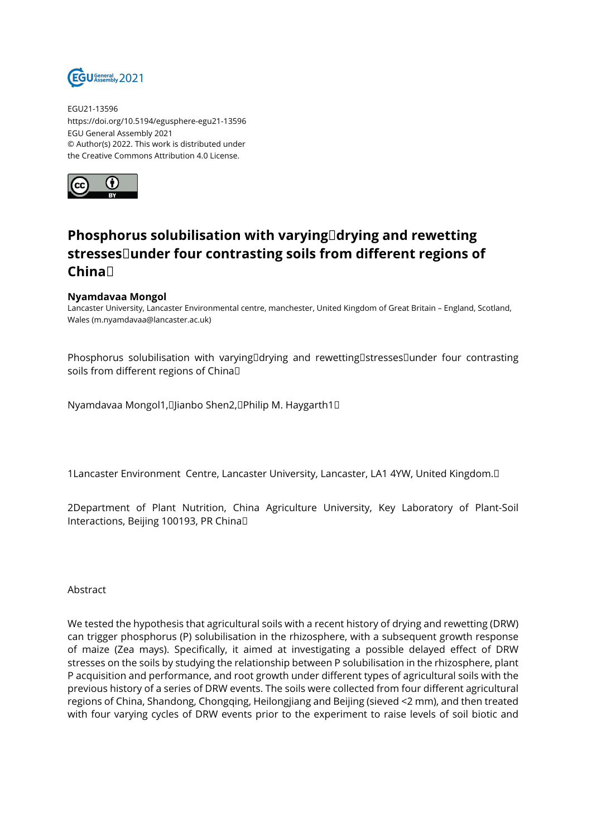

EGU21-13596 https://doi.org/10.5194/egusphere-egu21-13596 EGU General Assembly 2021 © Author(s) 2022. This work is distributed under the Creative Commons Attribution 4.0 License.



## **Phosphorus solubilisation with varying drying and rewetting stresses under four contrasting soils from different regions of China**

## **Nyamdavaa Mongol**

Lancaster University, Lancaster Environmental centre, manchester, United Kingdom of Great Britain – England, Scotland, Wales (m.nyamdavaa@lancaster.ac.uk)

Phosphorus solubilisation with varying drying and rewetting stresses under four contrasting soils from different regions of Chinal

Nyamdavaa Mongol1, Jianbo Shen2, Philip M. Haygarth1 

1Lancaster Environment Centre, Lancaster University, Lancaster, LA1 4YW, United Kingdom. 

2Department of Plant Nutrition, China Agriculture University, Key Laboratory of Plant-Soil Interactions, Beijing 100193, PR China 

Abstract

We tested the hypothesis that agricultural soils with a recent history of drying and rewetting (DRW) can trigger phosphorus (P) solubilisation in the rhizosphere, with a subsequent growth response of maize (Zea mays). Specifically, it aimed at investigating a possible delayed effect of DRW stresses on the soils by studying the relationship between P solubilisation in the rhizosphere, plant P acquisition and performance, and root growth under different types of agricultural soils with the previous history of a series of DRW events. The soils were collected from four different agricultural regions of China, Shandong, Chongqing, Heilongjiang and Beijing (sieved <2 mm), and then treated with four varying cycles of DRW events prior to the experiment to raise levels of soil biotic and